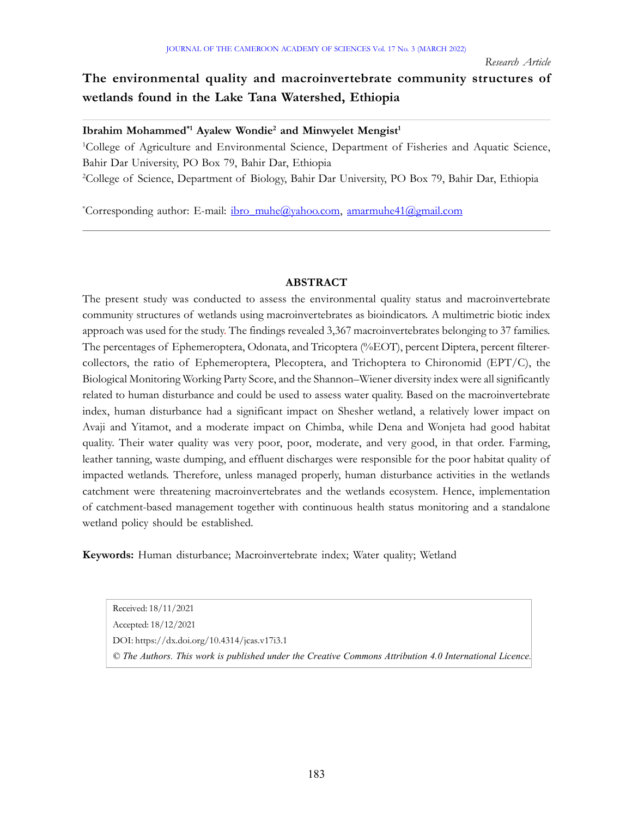# The environmental quality and macroinvertebrate community structures of wetlands found in the Lake Tana Watershed, Ethiopia

Ibrahim Mohammed<sup>\*1</sup> Ayalew Wondie<sup>2</sup> and Minwyelet Mengist<sup>1</sup>

<sup>1</sup>College of Agriculture and Environmental Science, Department of Fisheries and Aquatic Science, Bahir Dar University, PO Box 79, Bahir Dar, Ethiopia

<sup>2</sup>College of Science, Department of Biology, Bahir Dar University, PO Box 79, Bahir Dar, Ethiopia

\*Corresponding author: E-mail: ibro\_muhe@yahoo.com, amarmuhe41@gmail.com

#### ABSTRACT

The present study was conducted to assess the environmental quality status and macroinvertebrate community structures of wetlands using macroinvertebrates as bioindicators. A multimetric biotic index approach was used for the study. The findings revealed 3,367 macroinvertebrates belonging to 37 families. The percentages of Ephemeroptera, Odonata, and Tricoptera (%EOT), percent Diptera, percent filterercollectors, the ratio of Ephemeroptera, Plecoptera, and Trichoptera to Chironomid (EPT/C), the Biological Monitoring Working Party Score, and the Shannon–Wiener diversity index were all significantly related to human disturbance and could be used to assess water quality. Based on the macroinvertebrate index, human disturbance had a significant impact on Shesher wetland, a relatively lower impact on Avaji and Yitamot, and a moderate impact on Chimba, while Dena and Wonjeta had good habitat quality. Their water quality was very poor, poor, moderate, and very good, in that order. Farming, leather tanning, waste dumping, and effluent discharges were responsible for the poor habitat quality of impacted wetlands. Therefore, unless managed properly, human disturbance activities in the wetlands catchment were threatening macroinvertebrates and the wetlands ecosystem. Hence, implementation of catchment-based management together with continuous health status monitoring and a standalone wetland policy should be established.

Keywords: Human disturbance; Macroinvertebrate index; Water quality; Wetland

Received: 18/11/2021 Accepted: 18/12/2021 DOI: https://dx.doi.org/10.4314/jcas.v17i3.1 © The Authors. This work is published under the Creative Commons Attribution 4.0 International Licence.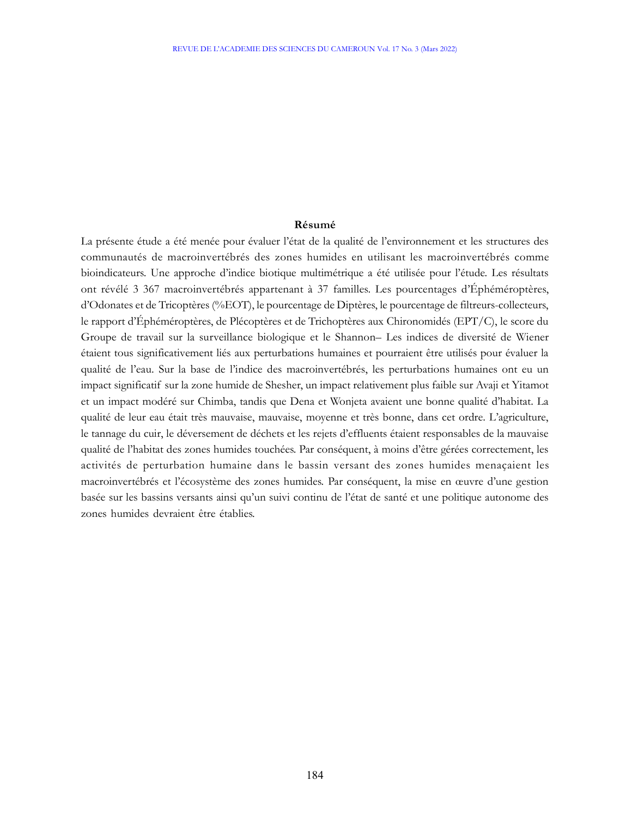#### Résumé

La présente étude a été menée pour évaluer l'état de la qualité de l'environnement et les structures des communautés de macroinvertébrés des zones humides en utilisant les macroinvertébrés comme bioindicateurs. Une approche d'indice biotique multimétrique a été utilisée pour l'étude. Les résultats ont révélé 3 367 macroinvertébrés appartenant à 37 familles. Les pourcentages d'Éphéméroptères, d'Odonates et de Tricoptères (%EOT), le pourcentage de Diptères, le pourcentage de filtreurs-collecteurs, le rapport d'Éphéméroptères, de Plécoptères et de Trichoptères aux Chironomidés (EPT/C), le score du Groupe de travail sur la surveillance biologique et le Shannon– Les indices de diversité de Wiener étaient tous significativement liés aux perturbations humaines et pourraient être utilisés pour évaluer la qualité de l'eau. Sur la base de l'indice des macroinvertébrés, les perturbations humaines ont eu un impact significatif sur la zone humide de Shesher, un impact relativement plus faible sur Avaji et Yitamot et un impact modéré sur Chimba, tandis que Dena et Wonjeta avaient une bonne qualité d'habitat. La qualité de leur eau était très mauvaise, mauvaise, moyenne et très bonne, dans cet ordre. L'agriculture, le tannage du cuir, le déversement de déchets et les rejets d'effluents étaient responsables de la mauvaise qualité de l'habitat des zones humides touchées. Par conséquent, à moins d'être gérées correctement, les activités de perturbation humaine dans le bassin versant des zones humides menaçaient les macroinvertébrés et l'écosystème des zones humides. Par conséquent, la mise en œuvre d'une gestion basée sur les bassins versants ainsi qu'un suivi continu de l'état de santé et une politique autonome des zones humides devraient être établies.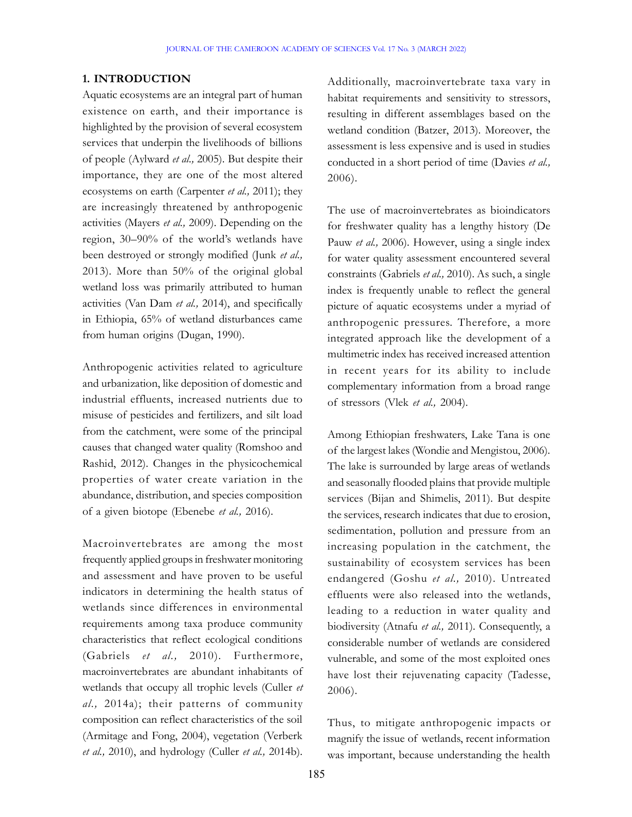#### 1. INTRODUCTION

Aquatic ecosystems are an integral part of human existence on earth, and their importance is highlighted by the provision of several ecosystem services that underpin the livelihoods of billions of people (Aylward et al., 2005). But despite their importance, they are one of the most altered ecosystems on earth (Carpenter et al., 2011); they are increasingly threatened by anthropogenic activities (Mayers et al., 2009). Depending on the region, 30–90% of the world's wetlands have been destroyed or strongly modified (Junk et al., 2013). More than 50% of the original global wetland loss was primarily attributed to human activities (Van Dam et al., 2014), and specifically in Ethiopia, 65% of wetland disturbances came from human origins (Dugan, 1990).

Anthropogenic activities related to agriculture and urbanization, like deposition of domestic and industrial effluents, increased nutrients due to misuse of pesticides and fertilizers, and silt load from the catchment, were some of the principal causes that changed water quality (Romshoo and Rashid, 2012). Changes in the physicochemical properties of water create variation in the abundance, distribution, and species composition of a given biotope (Ebenebe et al., 2016).

Macroinvertebrates are among the most frequently applied groups in freshwater monitoring and assessment and have proven to be useful indicators in determining the health status of wetlands since differences in environmental requirements among taxa produce community characteristics that reflect ecological conditions (Gabriels et al., 2010). Furthermore, macroinvertebrates are abundant inhabitants of wetlands that occupy all trophic levels (Culler et al., 2014a); their patterns of community composition can reflect characteristics of the soil (Armitage and Fong, 2004), vegetation (Verberk et al., 2010), and hydrology (Culler et al., 2014b).

Additionally, macroinvertebrate taxa vary in habitat requirements and sensitivity to stressors, resulting in different assemblages based on the wetland condition (Batzer, 2013). Moreover, the assessment is less expensive and is used in studies conducted in a short period of time (Davies et al., 2006).

The use of macroinvertebrates as bioindicators for freshwater quality has a lengthy history (De Pauw et al., 2006). However, using a single index for water quality assessment encountered several constraints (Gabriels et al., 2010). As such, a single index is frequently unable to reflect the general picture of aquatic ecosystems under a myriad of anthropogenic pressures. Therefore, a more integrated approach like the development of a multimetric index has received increased attention in recent years for its ability to include complementary information from a broad range of stressors (Vlek et al., 2004).

Among Ethiopian freshwaters, Lake Tana is one of the largest lakes (Wondie and Mengistou, 2006). The lake is surrounded by large areas of wetlands and seasonally flooded plains that provide multiple services (Bijan and Shimelis, 2011). But despite the services, research indicates that due to erosion, sedimentation, pollution and pressure from an increasing population in the catchment, the sustainability of ecosystem services has been endangered (Goshu et al., 2010). Untreated effluents were also released into the wetlands, leading to a reduction in water quality and biodiversity (Atnafu et al., 2011). Consequently, a considerable number of wetlands are considered vulnerable, and some of the most exploited ones have lost their rejuvenating capacity (Tadesse, 2006).

Thus, to mitigate anthropogenic impacts or magnify the issue of wetlands, recent information was important, because understanding the health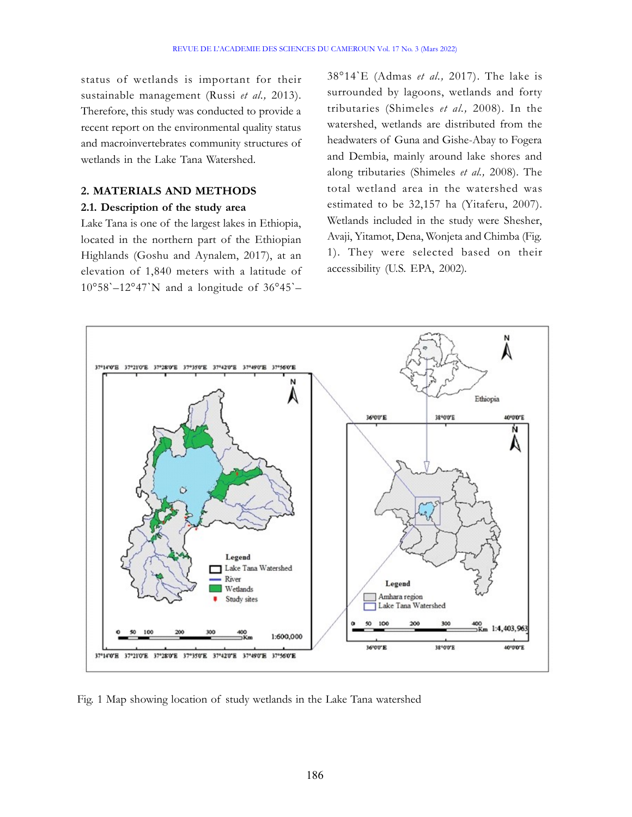status of wetlands is important for their sustainable management (Russi et al., 2013). Therefore, this study was conducted to provide a recent report on the environmental quality status and macroinvertebrates community structures of wetlands in the Lake Tana Watershed.

#### 2. MATERIALS AND METHODS

#### 2.1. Description of the study area

Lake Tana is one of the largest lakes in Ethiopia, located in the northern part of the Ethiopian Highlands (Goshu and Aynalem, 2017), at an elevation of 1,840 meters with a latitude of  $10^{\circ}58' - 12^{\circ}47'N$  and a longitude of  $36^{\circ}45' -$ 

 $38°14'E$  (Admas *et al.*, 2017). The lake is surrounded by lagoons, wetlands and forty tributaries (Shimeles et al., 2008). In the watershed, wetlands are distributed from the headwaters of Guna and Gishe-Abay to Fogera and Dembia, mainly around lake shores and along tributaries (Shimeles et al., 2008). The total wetland area in the watershed was estimated to be 32,157 ha (Yitaferu, 2007). Wetlands included in the study were Shesher, Avaji, Yitamot, Dena, Wonjeta and Chimba (Fig. 1). They were selected based on their accessibility (U.S. EPA, 2002).



Fig. 1 Map showing location of study wetlands in the Lake Tana watershed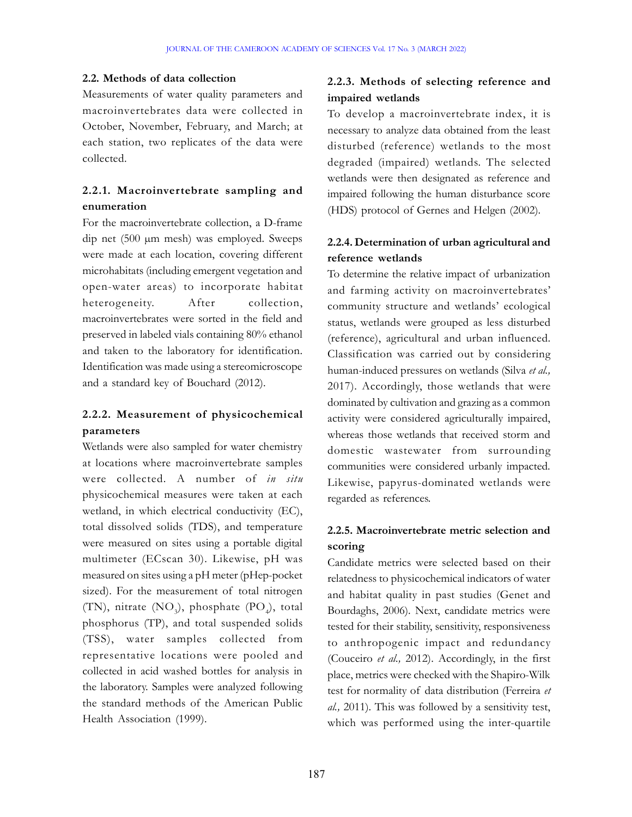#### 2.2. Methods of data collection

Measurements of water quality parameters and macroinvertebrates data were collected in October, November, February, and March; at each station, two replicates of the data were collected.

## 2.2.1. Macroinvertebrate sampling and enumeration

For the macroinvertebrate collection, a D-frame dip net (500 µm mesh) was employed. Sweeps were made at each location, covering different microhabitats (including emergent vegetation and open-water areas) to incorporate habitat heterogeneity. After collection, macroinvertebrates were sorted in the field and preserved in labeled vials containing 80% ethanol and taken to the laboratory for identification. Identification was made using a stereomicroscope and a standard key of Bouchard (2012).

## 2.2.2. Measurement of physicochemical parameters

Wetlands were also sampled for water chemistry at locations where macroinvertebrate samples were collected. A number of in situ physicochemical measures were taken at each wetland, in which electrical conductivity (EC), total dissolved solids (TDS), and temperature were measured on sites using a portable digital multimeter (ECscan 30). Likewise, pH was measured on sites using a pH meter (pHep-pocket sized). For the measurement of total nitrogen (TN), nitrate (NO<sub>3</sub>), phosphate (PO<sub>4</sub>), total phosphorus (TP), and total suspended solids (TSS), water samples collected from representative locations were pooled and collected in acid washed bottles for analysis in the laboratory. Samples were analyzed following the standard methods of the American Public Health Association (1999).

### 2.2.3. Methods of selecting reference and impaired wetlands

To develop a macroinvertebrate index, it is necessary to analyze data obtained from the least disturbed (reference) wetlands to the most degraded (impaired) wetlands. The selected wetlands were then designated as reference and impaired following the human disturbance score (HDS) protocol of Gernes and Helgen (2002).

### 2.2.4. Determination of urban agricultural and reference wetlands

To determine the relative impact of urbanization and farming activity on macroinvertebrates' community structure and wetlands' ecological status, wetlands were grouped as less disturbed (reference), agricultural and urban influenced. Classification was carried out by considering human-induced pressures on wetlands (Silva et al., 2017). Accordingly, those wetlands that were dominated by cultivation and grazing as a common activity were considered agriculturally impaired, whereas those wetlands that received storm and domestic wastewater from surrounding communities were considered urbanly impacted. Likewise, papyrus-dominated wetlands were regarded as references.

# 2.2.5. Macroinvertebrate metric selection and scoring

Candidate metrics were selected based on their relatedness to physicochemical indicators of water and habitat quality in past studies (Genet and Bourdaghs, 2006). Next, candidate metrics were tested for their stability, sensitivity, responsiveness to anthropogenic impact and redundancy (Couceiro et al., 2012). Accordingly, in the first place, metrics were checked with the Shapiro-Wilk test for normality of data distribution (Ferreira et al., 2011). This was followed by a sensitivity test, which was performed using the inter-quartile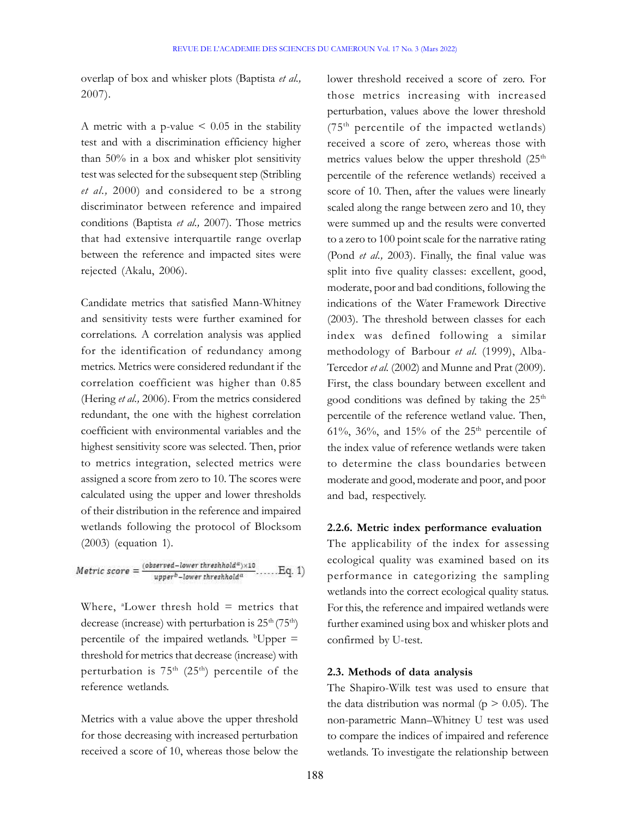overlap of box and whisker plots (Baptista et al., 2007).

A metric with a p-value  $\leq 0.05$  in the stability test and with a discrimination efficiency higher than 50% in a box and whisker plot sensitivity test was selected for the subsequent step (Stribling et al., 2000) and considered to be a strong discriminator between reference and impaired conditions (Baptista et al., 2007). Those metrics that had extensive interquartile range overlap between the reference and impacted sites were rejected (Akalu, 2006).

Candidate metrics that satisfied Mann-Whitney and sensitivity tests were further examined for correlations. A correlation analysis was applied for the identification of redundancy among metrics. Metrics were considered redundant if the correlation coefficient was higher than 0.85 (Hering et al., 2006). From the metrics considered redundant, the one with the highest correlation coefficient with environmental variables and the highest sensitivity score was selected. Then, prior to metrics integration, selected metrics were assigned a score from zero to 10. The scores were calculated using the upper and lower thresholds of their distribution in the reference and impaired wetlands following the protocol of Blocksom (2003) (equation 1).

$$
Metric score = \frac{(observed-lower threshold^a) \times 10}{upper^b-lower threshold^a} \dots .Eq. 1)
$$

Where,  $^{\circ}$ Lower thresh hold = metrics that decrease (increase) with perturbation is  $25<sup>th</sup> (75<sup>th</sup>)$ percentile of the impaired wetlands.  $b^{\dagger}$ Upper = threshold for metrics that decrease (increase) with perturbation is  $75<sup>th</sup>$  (25<sup>th</sup>) percentile of the reference wetlands.

Metrics with a value above the upper threshold for those decreasing with increased perturbation received a score of 10, whereas those below the

lower threshold received a score of zero. For those metrics increasing with increased perturbation, values above the lower threshold  $(75<sup>th</sup>$  percentile of the impacted wetlands) received a score of zero, whereas those with metrics values below the upper threshold  $(25<sup>th</sup>$ percentile of the reference wetlands) received a score of 10. Then, after the values were linearly scaled along the range between zero and 10, they were summed up and the results were converted to a zero to 100 point scale for the narrative rating (Pond et al., 2003). Finally, the final value was split into five quality classes: excellent, good, moderate, poor and bad conditions, following the indications of the Water Framework Directive (2003). The threshold between classes for each index was defined following a similar methodology of Barbour et al. (1999), Alba-Tercedor et al. (2002) and Munne and Prat (2009). First, the class boundary between excellent and good conditions was defined by taking the 25<sup>th</sup> percentile of the reference wetland value. Then, 61%, 36%, and 15% of the  $25<sup>th</sup>$  percentile of the index value of reference wetlands were taken to determine the class boundaries between moderate and good, moderate and poor, and poor and bad, respectively.

#### 2.2.6. Metric index performance evaluation

The applicability of the index for assessing ecological quality was examined based on its performance in categorizing the sampling wetlands into the correct ecological quality status. For this, the reference and impaired wetlands were further examined using box and whisker plots and confirmed by U-test.

#### 2.3. Methods of data analysis

The Shapiro-Wilk test was used to ensure that the data distribution was normal ( $p > 0.05$ ). The non-parametric Mann–Whitney U test was used to compare the indices of impaired and reference wetlands. To investigate the relationship between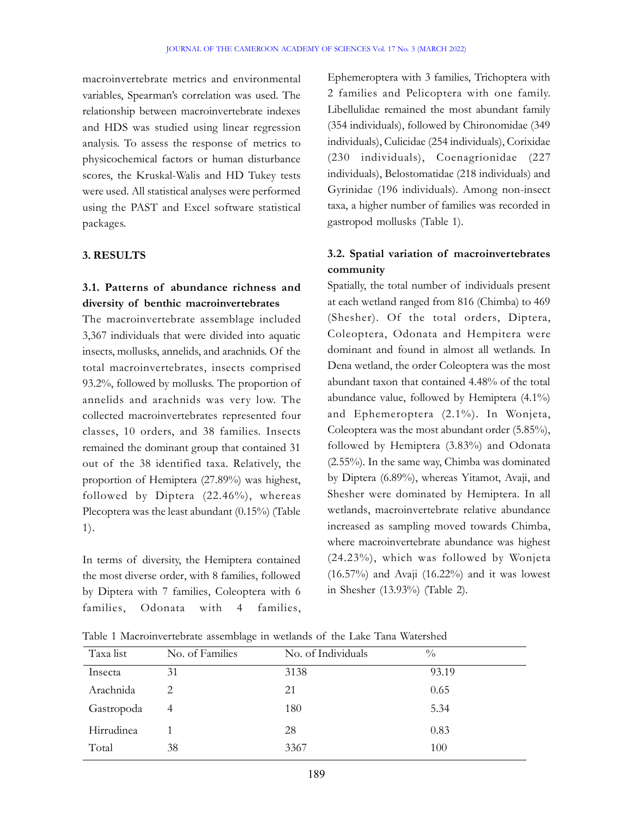macroinvertebrate metrics and environmental variables, Spearman's correlation was used. The relationship between macroinvertebrate indexes and HDS was studied using linear regression analysis. To assess the response of metrics to physicochemical factors or human disturbance scores, the Kruskal-Walis and HD Tukey tests were used. All statistical analyses were performed using the PAST and Excel software statistical packages.

### 3. RESULTS

# 3.1. Patterns of abundance richness and diversity of benthic macroinvertebrates

The macroinvertebrate assemblage included 3,367 individuals that were divided into aquatic insects, mollusks, annelids, and arachnids. Of the total macroinvertebrates, insects comprised 93.2%, followed by mollusks. The proportion of annelids and arachnids was very low. The collected macroinvertebrates represented four classes, 10 orders, and 38 families. Insects remained the dominant group that contained 31 out of the 38 identified taxa. Relatively, the proportion of Hemiptera (27.89%) was highest, followed by Diptera (22.46%), whereas Plecoptera was the least abundant (0.15%) (Table 1).

In terms of diversity, the Hemiptera contained the most diverse order, with 8 families, followed by Diptera with 7 families, Coleoptera with 6 families, Odonata with 4 families,

Ephemeroptera with 3 families, Trichoptera with 2 families and Pelicoptera with one family. Libellulidae remained the most abundant family (354 individuals), followed by Chironomidae (349 individuals), Culicidae (254 individuals), Corixidae (230 individuals), Coenagrionidae (227 individuals), Belostomatidae (218 individuals) and Gyrinidae (196 individuals). Among non-insect taxa, a higher number of families was recorded in gastropod mollusks (Table 1).

# 3.2. Spatial variation of macroinvertebrates community

Spatially, the total number of individuals present at each wetland ranged from 816 (Chimba) to 469 (Shesher). Of the total orders, Diptera, Coleoptera, Odonata and Hempitera were dominant and found in almost all wetlands. In Dena wetland, the order Coleoptera was the most abundant taxon that contained 4.48% of the total abundance value, followed by Hemiptera (4.1%) and Ephemeroptera (2.1%). In Wonjeta, Coleoptera was the most abundant order (5.85%), followed by Hemiptera (3.83%) and Odonata (2.55%). In the same way, Chimba was dominated by Diptera (6.89%), whereas Yitamot, Avaji, and Shesher were dominated by Hemiptera. In all wetlands, macroinvertebrate relative abundance increased as sampling moved towards Chimba, where macroinvertebrate abundance was highest (24.23%), which was followed by Wonjeta  $(16.57\%)$  and Avaji  $(16.22\%)$  and it was lowest in Shesher (13.93%) (Table 2).

| Taxa list  | No. of Families | No. of Individuals | $\frac{0}{0}$ |  |
|------------|-----------------|--------------------|---------------|--|
| Insecta    | 31              | 3138               | 93.19         |  |
| Arachnida  | 2               | 21                 | 0.65          |  |
| Gastropoda | 4               | 180                | 5.34          |  |
| Hirrudinea |                 | 28                 | 0.83          |  |
| Total      | 38              | 3367               | 100           |  |

Table 1 Macroinvertebrate assemblage in wetlands of the Lake Tana Watershed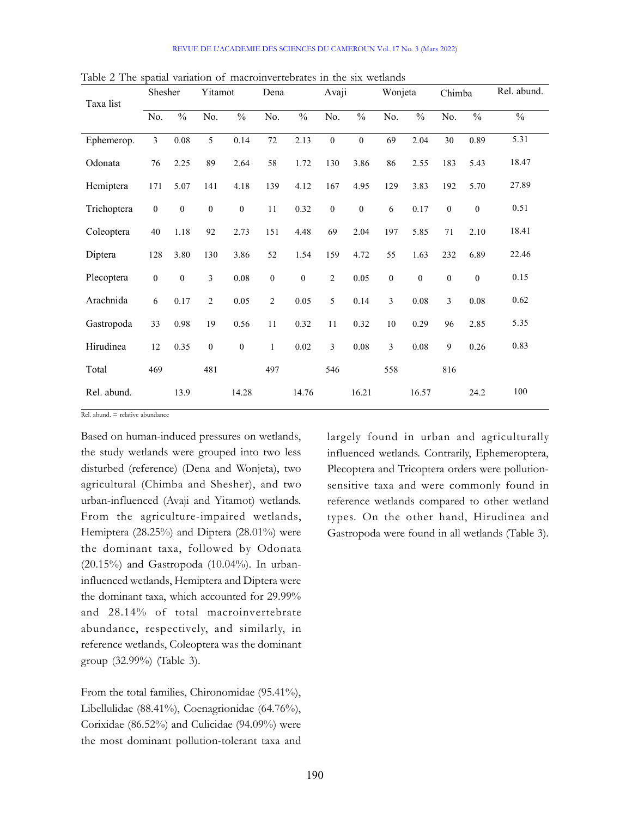| Taxa list   | Shesher          |                  | Yitamot          |                  | Dena             |                  | Avaji                   |                  | Wonjeta                 |                  | Chimba           |                  | Rel. abund.   |
|-------------|------------------|------------------|------------------|------------------|------------------|------------------|-------------------------|------------------|-------------------------|------------------|------------------|------------------|---------------|
|             | No.              | $\frac{0}{0}$    | No.              | $\frac{0}{0}$    | No.              | $\frac{0}{0}$    | No.                     | $\frac{0}{0}$    | No.                     | $\frac{0}{0}$    | No.              | $\frac{0}{0}$    | $\frac{0}{0}$ |
| Ephemerop.  | $\overline{3}$   | $0.08\,$         | 5                | 0.14             | 72               | 2.13             | $\boldsymbol{0}$        | $\boldsymbol{0}$ | 69                      | 2.04             | 30               | 0.89             | 5.31          |
| Odonata     | 76               | 2.25             | 89               | 2.64             | 58               | 1.72             | 130                     | 3.86             | 86                      | 2.55             | 183              | 5.43             | 18.47         |
| Hemiptera   | 171              | 5.07             | 141              | 4.18             | 139              | 4.12             | 167                     | 4.95             | 129                     | 3.83             | 192              | 5.70             | 27.89         |
| Trichoptera | $\boldsymbol{0}$ | $\boldsymbol{0}$ | $\boldsymbol{0}$ | $\boldsymbol{0}$ | 11               | 0.32             | $\boldsymbol{0}$        | $\boldsymbol{0}$ | 6                       | 0.17             | $\boldsymbol{0}$ | $\boldsymbol{0}$ | 0.51          |
| Coleoptera  | $40\,$           | $1.18\,$         | 92               | 2.73             | 151              | 4.48             | 69                      | 2.04             | 197                     | 5.85             | 71               | 2.10             | 18.41         |
| Diptera     | 128              | 3.80             | 130              | 3.86             | 52               | 1.54             | 159                     | 4.72             | 55                      | 1.63             | 232              | 6.89             | 22.46         |
| Plecoptera  | $\boldsymbol{0}$ | $\mathbf{0}$     | $\overline{3}$   | $0.08\,$         | $\boldsymbol{0}$ | $\boldsymbol{0}$ | $\overline{c}$          | $0.05\,$         | $\boldsymbol{0}$        | $\boldsymbol{0}$ | $\boldsymbol{0}$ | $\boldsymbol{0}$ | 0.15          |
| Arachnida   | 6                | 0.17             | $\overline{2}$   | 0.05             | $\overline{2}$   | 0.05             | 5                       | 0.14             | 3                       | $0.08\,$         | 3                | $0.08\,$         | 0.62          |
| Gastropoda  | 33               | 0.98             | 19               | 0.56             | 11               | 0.32             | 11                      | 0.32             | $10\,$                  | 0.29             | 96               | 2.85             | 5.35          |
| Hirudinea   | $12\,$           | 0.35             | $\boldsymbol{0}$ | $\boldsymbol{0}$ | $\mathbf{1}$     | $0.02\,$         | $\overline{\mathbf{3}}$ | $0.08\,$         | $\overline{\mathbf{3}}$ | $0.08\,$         | 9                | 0.26             | 0.83          |
| Total       | 469              |                  | 481              |                  | 497              |                  | 546                     |                  | 558                     |                  | 816              |                  |               |
| Rel. abund. |                  | 13.9             |                  | 14.28            |                  | 14.76            |                         | 16.21            |                         | 16.57            |                  | 24.2             | $100\,$       |

Table 2 The spatial variation of macroinvertebrates in the six wetlands

Rel. abund. = relative abundance

Based on human-induced pressures on wetlands, the study wetlands were grouped into two less disturbed (reference) (Dena and Wonjeta), two agricultural (Chimba and Shesher), and two urban-influenced (Avaji and Yitamot) wetlands. From the agriculture-impaired wetlands, Hemiptera (28.25%) and Diptera (28.01%) were the dominant taxa, followed by Odonata  $(20.15\%)$  and Gastropoda  $(10.04\%)$ . In urbaninfluenced wetlands, Hemiptera and Diptera were the dominant taxa, which accounted for 29.99% and 28.14% of total macroinvertebrate abundance, respectively, and similarly, in reference wetlands, Coleoptera was the dominant group (32.99%) (Table 3).

From the total families, Chironomidae (95.41%), Libellulidae (88.41%), Coenagrionidae (64.76%), Corixidae (86.52%) and Culicidae (94.09%) were the most dominant pollution-tolerant taxa and largely found in urban and agriculturally influenced wetlands. Contrarily, Ephemeroptera, Plecoptera and Tricoptera orders were pollutionsensitive taxa and were commonly found in reference wetlands compared to other wetland types. On the other hand, Hirudinea and Gastropoda were found in all wetlands (Table 3).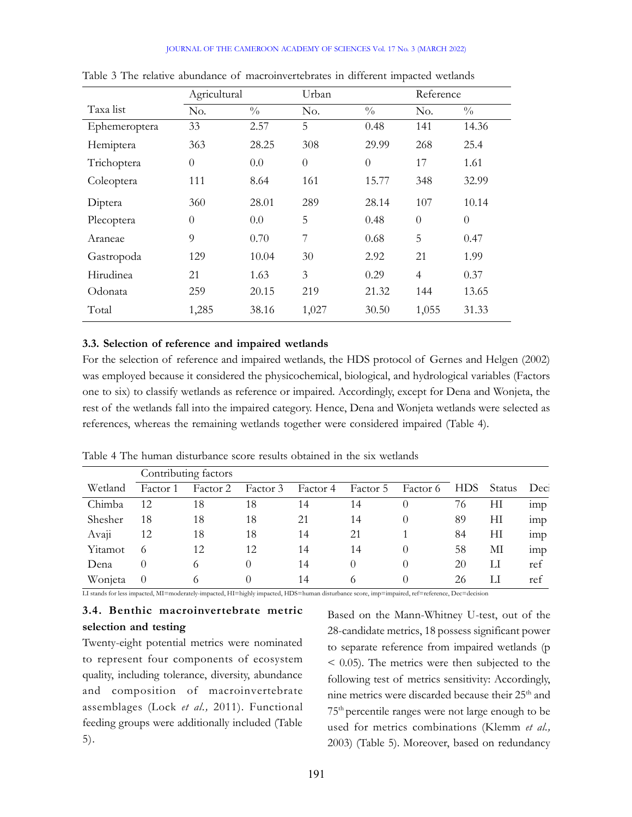#### JOURNAL OF THE CAMEROON ACADEMY OF SCIENCES Vol. 17 No. 3 (MARCH 2022)

|               | Agricultural<br>Urban |               |                  | Reference     |                |               |
|---------------|-----------------------|---------------|------------------|---------------|----------------|---------------|
| Taxa list     | No.                   | $\frac{0}{0}$ | No.              | $\frac{0}{0}$ | No.            | $\frac{0}{0}$ |
| Ephemeroptera | 33                    | 2.57          | 5                | 0.48          | 141            | 14.36         |
| Hemiptera     | 363                   | 28.25         | 308              | 29.99         | 268            | 25.4          |
| Trichoptera   | $\theta$              | 0.0           | $\boldsymbol{0}$ | $\theta$      | 17             | 1.61          |
| Coleoptera    | 111                   | 8.64          | 161              | 15.77         | 348            | 32.99         |
| Diptera       | 360                   | 28.01         | 289              | 28.14         | 107            | 10.14         |
| Plecoptera    | $\theta$              | 0.0           | 5                | 0.48          | $\theta$       | $\theta$      |
| Araneae       | 9                     | 0.70          | $\overline{7}$   | 0.68          | 5              | 0.47          |
| Gastropoda    | 129                   | 10.04         | 30               | 2.92          | 21             | 1.99          |
| Hirudinea     | 21                    | 1.63          | 3                | 0.29          | $\overline{4}$ | 0.37          |
| Odonata       | 259                   | 20.15         | 219              | 21.32         | 144            | 13.65         |
| Total         | 1,285                 | 38.16         | 1,027            | 30.50         | 1,055          | 31.33         |

Table 3 The relative abundance of macroinvertebrates in different impacted wetlands

#### 3.3. Selection of reference and impaired wetlands

For the selection of reference and impaired wetlands, the HDS protocol of Gernes and Helgen (2002) was employed because it considered the physicochemical, biological, and hydrological variables (Factors one to six) to classify wetlands as reference or impaired. Accordingly, except for Dena and Wonjeta, the rest of the wetlands fall into the impaired category. Hence, Dena and Wonjeta wetlands were selected as references, whereas the remaining wetlands together were considered impaired (Table 4).

|         |          | Contributing factors |          |          |          |          |            |        |                 |
|---------|----------|----------------------|----------|----------|----------|----------|------------|--------|-----------------|
| Wetland | Factor 1 | Factor 2             | Factor 3 | Factor 4 | Factor 5 | Factor 6 | <b>HDS</b> | Status | Dec             |
| Chimba  | 12       | 18                   | 18       | 14       | 14       |          | 76         | H      | imp             |
| Shesher | 18       | 18                   | 18       | 21       | 14       | $\theta$ | -89        | H      | 1 <sub>mp</sub> |
| Avaji   | 12       | 18                   | 18       | 14       | 21       |          | 84         | H      | 1 <sub>mp</sub> |
| Yitamot | $\Omega$ | 12                   | 12       | 14       | 14       |          | 58         | MI     | 1mp             |
| Dena    | 0        | $\sigma$             | $\theta$ | 14       | $\theta$ | $\theta$ | 20         | П      | ref             |
| Wonjeta |          | $\circ$              |          | 14       | $\sigma$ |          | 26         | П      | ref             |

Table 4 The human disturbance score results obtained in the six wetlands

LI stands for less impacted, MI=moderately-impacted, HI=highly impacted, HDS=human disturbance score, imp=impaired, ref=reference, Dec=decision

### 3.4. Benthic macroinvertebrate metric selection and testing

Twenty-eight potential metrics were nominated to represent four components of ecosystem quality, including tolerance, diversity, abundance and composition of macroinvertebrate assemblages (Lock et al., 2011). Functional feeding groups were additionally included (Table 5).

Based on the Mann-Whitney U-test, out of the 28-candidate metrics, 18 possess significant power to separate reference from impaired wetlands (p < 0.05). The metrics were then subjected to the following test of metrics sensitivity: Accordingly, nine metrics were discarded because their 25<sup>th</sup> and 75th percentile ranges were not large enough to be used for metrics combinations (Klemm et al., 2003) (Table 5). Moreover, based on redundancy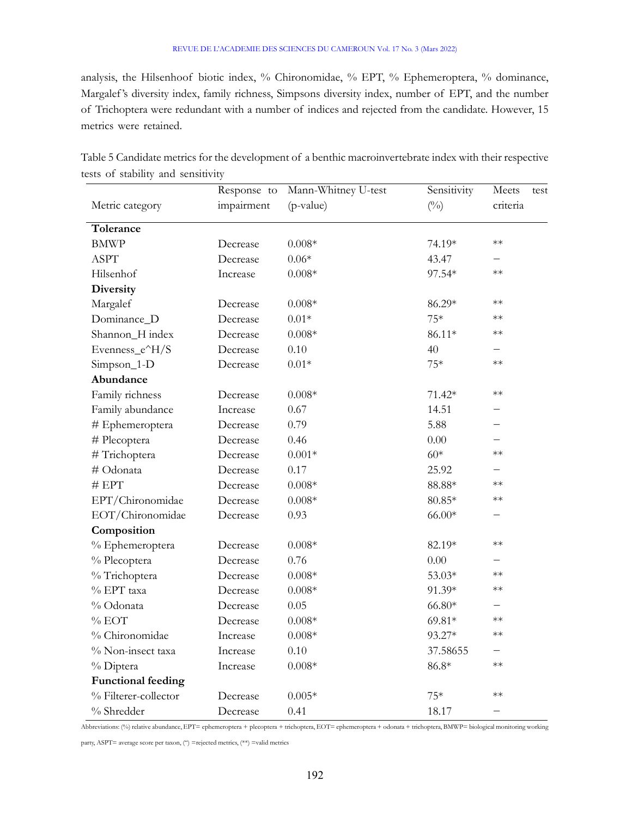analysis, the Hilsenhoof biotic index, % Chironomidae, % EPT, % Ephemeroptera, % dominance, Margalef 's diversity index, family richness, Simpsons diversity index, number of EPT, and the number of Trichoptera were redundant with a number of indices and rejected from the candidate. However, 15 metrics were retained.

|                           | Response to | Mann-Whitney U-test | Sensitivity   | Meets<br>test            |
|---------------------------|-------------|---------------------|---------------|--------------------------|
| Metric category           | impairment  | (p-value)           | $(^{0}/_{0})$ | criteria                 |
| Tolerance                 |             |                     |               |                          |
| <b>BMWP</b>               | Decrease    | $0.008*$            | 74.19*        | $**$                     |
| <b>ASPT</b>               | Decrease    | $0.06*$             | 43.47         |                          |
| Hilsenhof                 | Increase    | $0.008*$            | 97.54*        | $**$                     |
| Diversity                 |             |                     |               |                          |
| Margalef                  | Decrease    | $0.008*$            | 86.29*        | $\ast\ast$               |
| Dominance_D               | Decrease    | $0.01*$             | $75*$         | $**$                     |
| Shannon_H index           | Decrease    | $0.008\text{*}$     | $86.11*$      | $**$                     |
| Evenness_e^H/S            | Decrease    | $0.10\,$            | 40            |                          |
| Simpson_1-D               | Decrease    | $0.01\mathrm{*}$    | $75*$         | $**$                     |
| Abundance                 |             |                     |               |                          |
| Family richness           | Decrease    | $0.008*$            | $71.42*$      | $\ast\ast$               |
| Family abundance          | Increase    | 0.67                | 14.51         |                          |
| # Ephemeroptera           | Decrease    | 0.79                | 5.88          |                          |
| # Plecoptera              | Decrease    | 0.46                | $0.00\,$      |                          |
| # Trichoptera             | Decrease    | $0.001*$            | $60*$         | $\ast\ast$               |
| # Odonata                 | Decrease    | 0.17                | 25.92         |                          |
| $\#$ EPT                  | Decrease    | $0.008*$            | $88.88*$      | $**$                     |
| EPT/Chironomidae          | Decrease    | $0.008\text{*}$     | $80.85*$      | $**$                     |
| EOT/Chironomidae          | Decrease    | 0.93                | $66.00*$      |                          |
| Composition               |             |                     |               |                          |
| % Ephemeroptera           | Decrease    | $0.008*$            | 82.19*        | $**$                     |
| % Plecoptera              | Decrease    | 0.76                | 0.00          |                          |
| % Trichoptera             | Decrease    | $0.008\text{*}$     | 53.03*        | $**$                     |
| % EPT taxa                | Decrease    | $0.008*$            | 91.39*        | $**$                     |
| % Odonata                 | Decrease    | 0.05                | $66.80*$      |                          |
| $%$ EOT                   | Decrease    | $0.008\text{*}$     | $69.81*$      | $\ast\ast$               |
| % Chironomidae            | Increase    | $0.008*$            | 93.27*        | $**$                     |
| % Non-insect taxa         | Increase    | $0.10\,$            | 37.58655      |                          |
| % Diptera                 | Increase    | $0.008\text{*}$     | $86.8*$       | $**$                     |
| <b>Functional feeding</b> |             |                     |               |                          |
| % Filterer-collector      | Decrease    | $0.005*$            | $75*$         | $**$                     |
| % Shredder                | Decrease    | 0.41                | 18.17         | $\overline{\phantom{m}}$ |

Table 5 Candidate metrics for the development of a benthic macroinvertebrate index with their respective tests of stability and sensitivity

Abbreviations: (%) relative abundance, EPT= ephemeroptera + plecoptera + trichoptera, EOT= ephemeroptera + odonata + trichoptera, BMWP= biological monitoring working

party, ASPT= average score per taxon, (") =rejected metrics, (\*\*) =valid metrics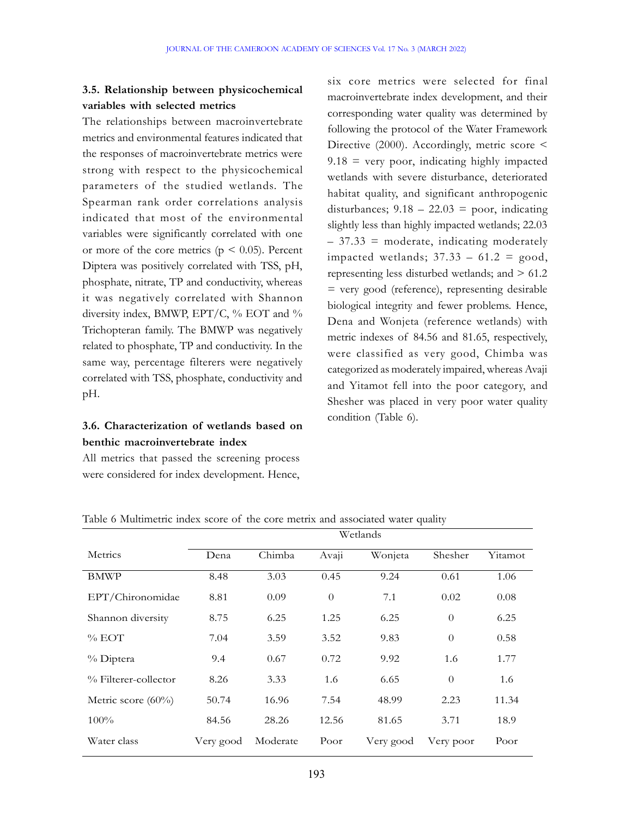## 3.5. Relationship between physicochemical variables with selected metrics

The relationships between macroinvertebrate metrics and environmental features indicated that the responses of macroinvertebrate metrics were strong with respect to the physicochemical parameters of the studied wetlands. The Spearman rank order correlations analysis indicated that most of the environmental variables were significantly correlated with one or more of the core metrics ( $p < 0.05$ ). Percent Diptera was positively correlated with TSS, pH, phosphate, nitrate, TP and conductivity, whereas it was negatively correlated with Shannon diversity index, BMWP, EPT/C, % EOT and % Trichopteran family. The BMWP was negatively related to phosphate, TP and conductivity. In the same way, percentage filterers were negatively correlated with TSS, phosphate, conductivity and pH.

## 3.6. Characterization of wetlands based on benthic macroinvertebrate index

All metrics that passed the screening process were considered for index development. Hence,

six core metrics were selected for final macroinvertebrate index development, and their corresponding water quality was determined by following the protocol of the Water Framework Directive (2000). Accordingly, metric score <  $9.18$  = very poor, indicating highly impacted wetlands with severe disturbance, deteriorated habitat quality, and significant anthropogenic disturbances;  $9.18 - 22.03 =$  poor, indicating slightly less than highly impacted wetlands; 22.03  $-37.33$  = moderate, indicating moderately impacted wetlands;  $37.33 - 61.2 \equiv \text{good}$ , representing less disturbed wetlands; and > 61.2 = very good (reference), representing desirable biological integrity and fewer problems. Hence, Dena and Wonjeta (reference wetlands) with metric indexes of 84.56 and 81.65, respectively, were classified as very good, Chimba was categorized as moderately impaired, whereas Avaji and Yitamot fell into the poor category, and Shesher was placed in very poor water quality condition (Table 6).

|                       | Wetlands  |          |                |           |                  |         |  |  |
|-----------------------|-----------|----------|----------------|-----------|------------------|---------|--|--|
| Metrics               | Dena      | Chimba   | Avaji          | Wonjeta   | Shesher          | Yitamot |  |  |
| <b>BMWP</b>           | 8.48      | 3.03     | 0.45           | 9.24      | 0.61             | 1.06    |  |  |
| EPT/Chironomidae      | 8.81      | 0.09     | $\overline{0}$ | 7.1       | 0.02             | 0.08    |  |  |
| Shannon diversity     | 8.75      | 6.25     | 1.25           | 6.25      | $\theta$         | 6.25    |  |  |
| $\%$ EOT              | 7.04      | 3.59     | 3.52           | 9.83      | $\boldsymbol{0}$ | 0.58    |  |  |
| % Diptera             | 9.4       | 0.67     | 0.72           | 9.92      | 1.6              | 1.77    |  |  |
| % Filterer-collector  | 8.26      | 3.33     | 1.6            | 6.65      | $\theta$         | 1.6     |  |  |
| Metric score $(60\%)$ | 50.74     | 16.96    | 7.54           | 48.99     | 2.23             | 11.34   |  |  |
| $100\%$               | 84.56     | 28.26    | 12.56          | 81.65     | 3.71             | 18.9    |  |  |
| Water class           | Very good | Moderate | Poor           | Very good | Very poor        | Poor    |  |  |

Table 6 Multimetric index score of the core metrix and associated water quality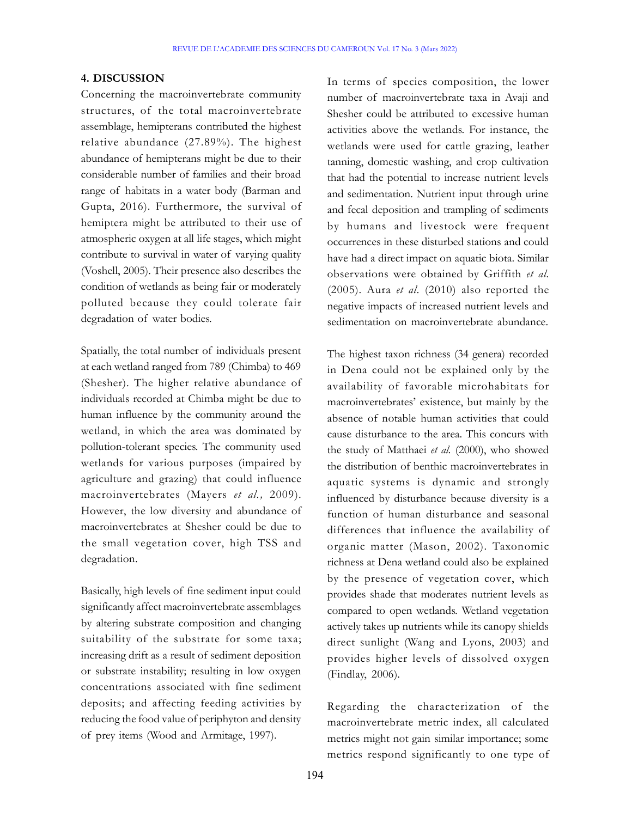#### 4. DISCUSSION

Concerning the macroinvertebrate community structures, of the total macroinvertebrate assemblage, hemipterans contributed the highest relative abundance (27.89%). The highest abundance of hemipterans might be due to their considerable number of families and their broad range of habitats in a water body (Barman and Gupta, 2016). Furthermore, the survival of hemiptera might be attributed to their use of atmospheric oxygen at all life stages, which might contribute to survival in water of varying quality (Voshell, 2005). Their presence also describes the condition of wetlands as being fair or moderately polluted because they could tolerate fair degradation of water bodies.

Spatially, the total number of individuals present at each wetland ranged from 789 (Chimba) to 469 (Shesher). The higher relative abundance of individuals recorded at Chimba might be due to human influence by the community around the wetland, in which the area was dominated by pollution-tolerant species. The community used wetlands for various purposes (impaired by agriculture and grazing) that could influence macroinvertebrates (Mayers et al., 2009). However, the low diversity and abundance of macroinvertebrates at Shesher could be due to the small vegetation cover, high TSS and degradation.

Basically, high levels of fine sediment input could significantly affect macroinvertebrate assemblages by altering substrate composition and changing suitability of the substrate for some taxa; increasing drift as a result of sediment deposition or substrate instability; resulting in low oxygen concentrations associated with fine sediment deposits; and affecting feeding activities by reducing the food value of periphyton and density of prey items (Wood and Armitage, 1997).

In terms of species composition, the lower number of macroinvertebrate taxa in Avaji and Shesher could be attributed to excessive human activities above the wetlands. For instance, the wetlands were used for cattle grazing, leather tanning, domestic washing, and crop cultivation that had the potential to increase nutrient levels and sedimentation. Nutrient input through urine and fecal deposition and trampling of sediments by humans and livestock were frequent occurrences in these disturbed stations and could have had a direct impact on aquatic biota. Similar observations were obtained by Griffith et al. (2005). Aura et al. (2010) also reported the negative impacts of increased nutrient levels and sedimentation on macroinvertebrate abundance.

The highest taxon richness (34 genera) recorded in Dena could not be explained only by the availability of favorable microhabitats for macroinvertebrates' existence, but mainly by the absence of notable human activities that could cause disturbance to the area. This concurs with the study of Matthaei et al. (2000), who showed the distribution of benthic macroinvertebrates in aquatic systems is dynamic and strongly influenced by disturbance because diversity is a function of human disturbance and seasonal differences that influence the availability of organic matter (Mason, 2002). Taxonomic richness at Dena wetland could also be explained by the presence of vegetation cover, which provides shade that moderates nutrient levels as compared to open wetlands. Wetland vegetation actively takes up nutrients while its canopy shields direct sunlight (Wang and Lyons, 2003) and provides higher levels of dissolved oxygen (Findlay, 2006).

Regarding the characterization of the macroinvertebrate metric index, all calculated metrics might not gain similar importance; some metrics respond significantly to one type of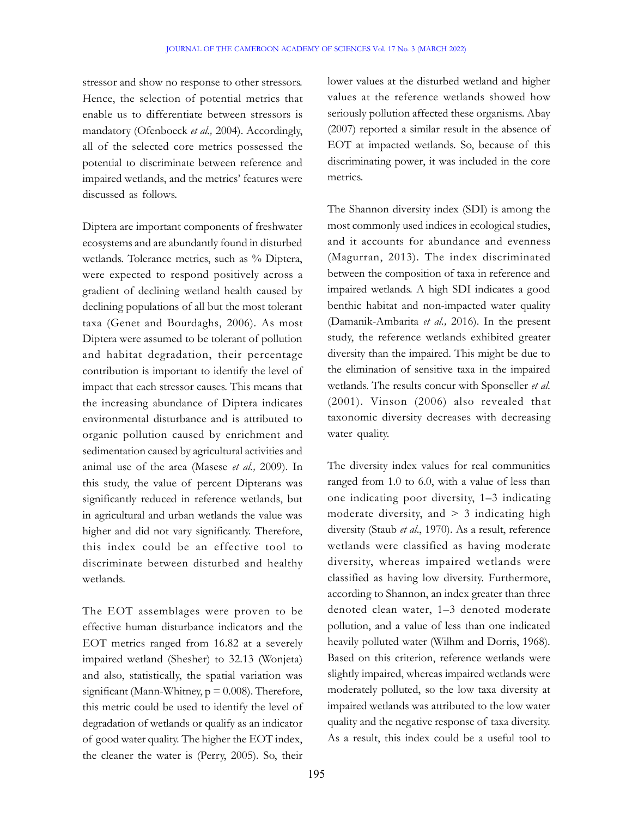stressor and show no response to other stressors. Hence, the selection of potential metrics that enable us to differentiate between stressors is mandatory (Ofenboeck et al., 2004). Accordingly, all of the selected core metrics possessed the potential to discriminate between reference and impaired wetlands, and the metrics' features were discussed as follows.

Diptera are important components of freshwater ecosystems and are abundantly found in disturbed wetlands. Tolerance metrics, such as % Diptera, were expected to respond positively across a gradient of declining wetland health caused by declining populations of all but the most tolerant taxa (Genet and Bourdaghs, 2006). As most Diptera were assumed to be tolerant of pollution and habitat degradation, their percentage contribution is important to identify the level of impact that each stressor causes. This means that the increasing abundance of Diptera indicates environmental disturbance and is attributed to organic pollution caused by enrichment and sedimentation caused by agricultural activities and animal use of the area (Masese et al., 2009). In this study, the value of percent Dipterans was significantly reduced in reference wetlands, but in agricultural and urban wetlands the value was higher and did not vary significantly. Therefore, this index could be an effective tool to discriminate between disturbed and healthy wetlands.

The EOT assemblages were proven to be effective human disturbance indicators and the EOT metrics ranged from 16.82 at a severely impaired wetland (Shesher) to 32.13 (Wonjeta) and also, statistically, the spatial variation was significant (Mann-Whitney,  $p = 0.008$ ). Therefore, this metric could be used to identify the level of degradation of wetlands or qualify as an indicator of good water quality. The higher the EOT index, the cleaner the water is (Perry, 2005). So, their

lower values at the disturbed wetland and higher values at the reference wetlands showed how seriously pollution affected these organisms. Abay (2007) reported a similar result in the absence of EOT at impacted wetlands. So, because of this discriminating power, it was included in the core metrics.

The Shannon diversity index (SDI) is among the most commonly used indices in ecological studies, and it accounts for abundance and evenness (Magurran, 2013). The index discriminated between the composition of taxa in reference and impaired wetlands. A high SDI indicates a good benthic habitat and non-impacted water quality (Damanik-Ambarita et al., 2016). In the present study, the reference wetlands exhibited greater diversity than the impaired. This might be due to the elimination of sensitive taxa in the impaired wetlands. The results concur with Sponseller et al. (2001). Vinson (2006) also revealed that taxonomic diversity decreases with decreasing water quality.

The diversity index values for real communities ranged from 1.0 to 6.0, with a value of less than one indicating poor diversity, 1–3 indicating moderate diversity, and  $> 3$  indicating high diversity (Staub et al., 1970). As a result, reference wetlands were classified as having moderate diversity, whereas impaired wetlands were classified as having low diversity. Furthermore, according to Shannon, an index greater than three denoted clean water, 1–3 denoted moderate pollution, and a value of less than one indicated heavily polluted water (Wilhm and Dorris, 1968). Based on this criterion, reference wetlands were slightly impaired, whereas impaired wetlands were moderately polluted, so the low taxa diversity at impaired wetlands was attributed to the low water quality and the negative response of taxa diversity. As a result, this index could be a useful tool to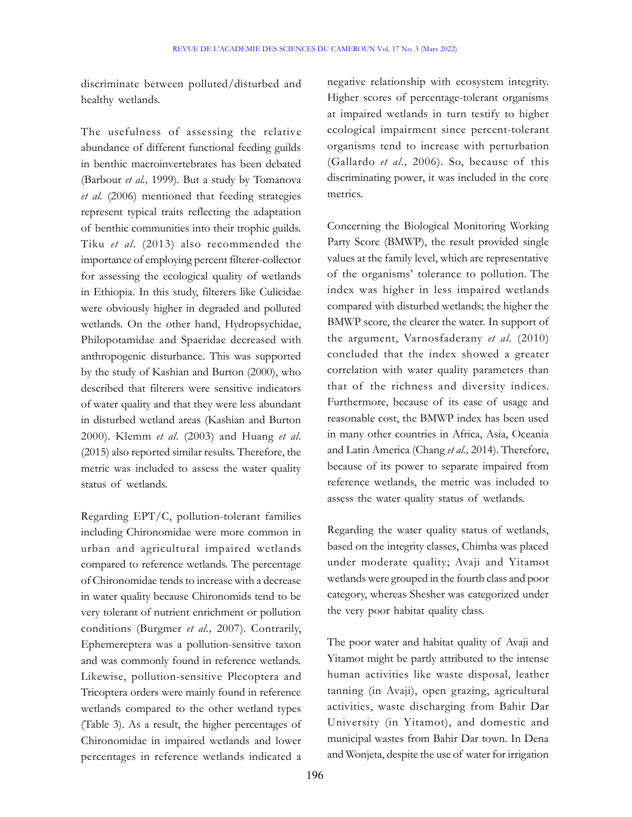discriminate between polluted/disturbed and healthy wetlands.

The usefulness of assessing the relative abundance of different functional feeding guilds in benthic macroinvertebrates has been debated (Barbour et al., 1999). But a study by Tomanova et al. (2006) mentioned that feeding strategies represent typical traits reflecting the adaptation of benthic communities into their trophic guilds. Tiku et al. (2013) also recommended the importance of employing percent filterer-collector for assessing the ecological quality of wetlands in Ethiopia. In this study, filterers like Culicidae were obviously higher in degraded and polluted wetlands. On the other hand, Hydropsychidae, Philopotamidae and Spaeridae decreased with anthropogenic disturbance. This was supported by the study of Kashian and Burton (2000), who described that filterers were sensitive indicators of water quality and that they were less abundant in disturbed wetland areas (Kashian and Burton 2000). Klemm et al. (2003) and Huang et al. (2015) also reported similar results. Therefore, the metric was included to assess the water quality status of wetlands.

Regarding EPT/C, pollution-tolerant families including Chironomidae were more common in urban and agricultural impaired wetlands compared to reference wetlands. The percentage of Chironomidae tends to increase with a decrease in water quality because Chironomids tend to be very tolerant of nutrient enrichment or pollution conditions (Burgmer et al., 2007). Contrarily, Ephemereptera was a pollution-sensitive taxon and was commonly found in reference wetlands. Likewise, pollution-sensitive Plecoptera and Tricoptera orders were mainly found in reference wetlands compared to the other wetland types (Table 3). As a result, the higher percentages of Chironomidae in impaired wetlands and lower percentages in reference wetlands indicated a

negative relationship with ecosystem integrity. Higher scores of percentage-tolerant organisms at impaired wetlands in turn testify to higher ecological impairment since percent-tolerant organisms tend to increase with perturbation (Gallardo et al., 2006). So, because of this discriminating power, it was included in the core metrics.

Concerning the Biological Monitoring Working Party Score (BMWP), the result provided single values at the family level, which are representative of the organisms' tolerance to pollution. The index was higher in less impaired wetlands compared with disturbed wetlands; the higher the BMWP score, the clearer the water. In support of the argument, Varnosfaderany et al. (2010) concluded that the index showed a greater correlation with water quality parameters than that of the richness and diversity indices. Furthermore, because of its ease of usage and reasonable cost, the BMWP index has been used in many other countries in Africa, Asia, Oceania and Latin America (Chang et al., 2014). Therefore, because of its power to separate impaired from reference wetlands, the metric was included to assess the water quality status of wetlands.

Regarding the water quality status of wetlands, based on the integrity classes, Chimba was placed under moderate quality; Avaji and Yitamot wetlands were grouped in the fourth class and poor category, whereas Shesher was categorized under the very poor habitat quality class.

The poor water and habitat quality of Avaji and Yitamot might be partly attributed to the intense human activities like waste disposal, leather tanning (in Avaji), open grazing, agricultural activities, waste discharging from Bahir Dar University (in Yitamot), and domestic and municipal wastes from Bahir Dar town. In Dena and Wonjeta, despite the use of water for irrigation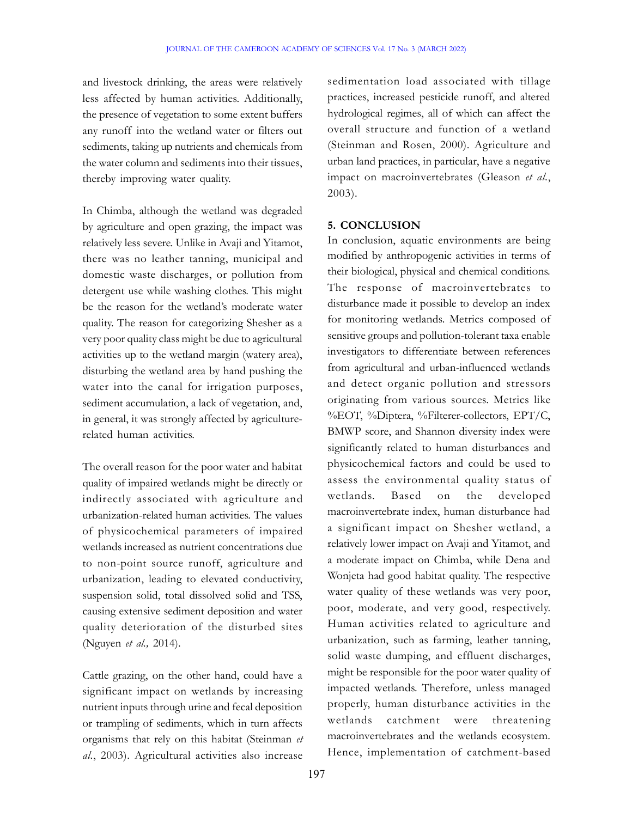and livestock drinking, the areas were relatively less affected by human activities. Additionally, the presence of vegetation to some extent buffers any runoff into the wetland water or filters out sediments, taking up nutrients and chemicals from the water column and sediments into their tissues, thereby improving water quality.

In Chimba, although the wetland was degraded by agriculture and open grazing, the impact was relatively less severe. Unlike in Avaji and Yitamot, there was no leather tanning, municipal and domestic waste discharges, or pollution from detergent use while washing clothes. This might be the reason for the wetland's moderate water quality. The reason for categorizing Shesher as a very poor quality class might be due to agricultural activities up to the wetland margin (watery area), disturbing the wetland area by hand pushing the water into the canal for irrigation purposes, sediment accumulation, a lack of vegetation, and, in general, it was strongly affected by agriculturerelated human activities.

The overall reason for the poor water and habitat quality of impaired wetlands might be directly or indirectly associated with agriculture and urbanization-related human activities. The values of physicochemical parameters of impaired wetlands increased as nutrient concentrations due to non-point source runoff, agriculture and urbanization, leading to elevated conductivity, suspension solid, total dissolved solid and TSS, causing extensive sediment deposition and water quality deterioration of the disturbed sites (Nguyen et al., 2014).

Cattle grazing, on the other hand, could have a significant impact on wetlands by increasing nutrient inputs through urine and fecal deposition or trampling of sediments, which in turn affects organisms that rely on this habitat (Steinman et al., 2003). Agricultural activities also increase

sedimentation load associated with tillage practices, increased pesticide runoff, and altered hydrological regimes, all of which can affect the overall structure and function of a wetland (Steinman and Rosen, 2000). Agriculture and urban land practices, in particular, have a negative impact on macroinvertebrates (Gleason et al., 2003).

#### 5. CONCLUSION

In conclusion, aquatic environments are being modified by anthropogenic activities in terms of their biological, physical and chemical conditions. The response of macroinvertebrates to disturbance made it possible to develop an index for monitoring wetlands. Metrics composed of sensitive groups and pollution-tolerant taxa enable investigators to differentiate between references from agricultural and urban-influenced wetlands and detect organic pollution and stressors originating from various sources. Metrics like %EOT, %Diptera, %Filterer-collectors, EPT/C, BMWP score, and Shannon diversity index were significantly related to human disturbances and physicochemical factors and could be used to assess the environmental quality status of wetlands. Based on the developed macroinvertebrate index, human disturbance had a significant impact on Shesher wetland, a relatively lower impact on Avaji and Yitamot, and a moderate impact on Chimba, while Dena and Wonjeta had good habitat quality. The respective water quality of these wetlands was very poor, poor, moderate, and very good, respectively. Human activities related to agriculture and urbanization, such as farming, leather tanning, solid waste dumping, and effluent discharges, might be responsible for the poor water quality of impacted wetlands. Therefore, unless managed properly, human disturbance activities in the wetlands catchment were threatening macroinvertebrates and the wetlands ecosystem. Hence, implementation of catchment-based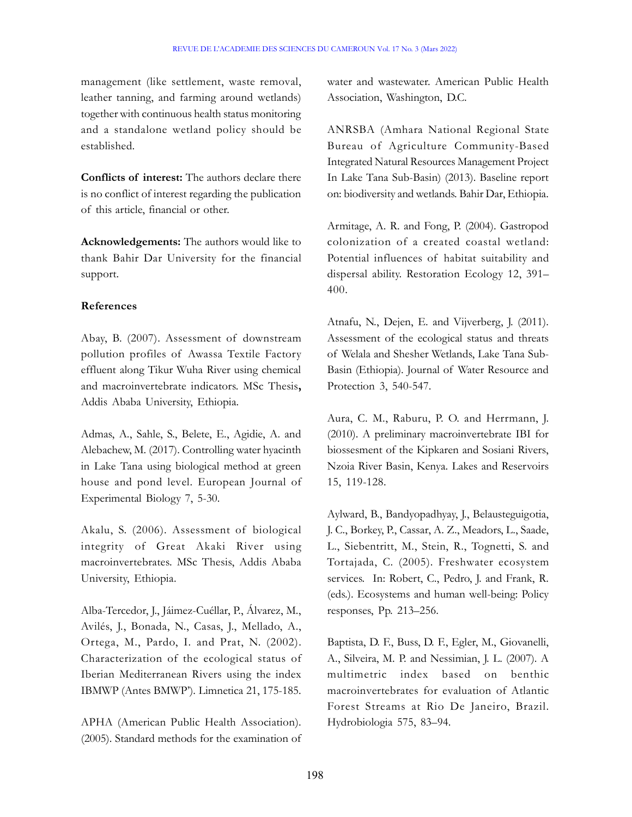management (like settlement, waste removal, leather tanning, and farming around wetlands) together with continuous health status monitoring and a standalone wetland policy should be established.

Conflicts of interest: The authors declare there is no conflict of interest regarding the publication of this article, financial or other.

Acknowledgements: The authors would like to thank Bahir Dar University for the financial support.

#### References

Abay, B. (2007). Assessment of downstream pollution profiles of Awassa Textile Factory effluent along Tikur Wuha River using chemical and macroinvertebrate indicators. MSc Thesis, Addis Ababa University, Ethiopia.

Admas, A., Sahle, S., Belete, E., Agidie, A. and Alebachew, M. (2017). Controlling water hyacinth in Lake Tana using biological method at green house and pond level. European Journal of Experimental Biology 7, 5-30.

Akalu, S. (2006). Assessment of biological integrity of Great Akaki River using macroinvertebrates. MSc Thesis, Addis Ababa University, Ethiopia.

Alba-Tercedor, J., Jáimez-Cuéllar, P., Álvarez, M., Avilés, J., Bonada, N., Casas, J., Mellado, A., Ortega, M., Pardo, I. and Prat, N. (2002). Characterization of the ecological status of Iberian Mediterranean Rivers using the index IBMWP (Antes BMWP'). Limnetica 21, 175-185.

APHA (American Public Health Association). (2005). Standard methods for the examination of water and wastewater. American Public Health Association, Washington, D.C.

ANRSBA (Amhara National Regional State Bureau of Agriculture Community-Based Integrated Natural Resources Management Project In Lake Tana Sub-Basin) (2013). Baseline report on: biodiversity and wetlands. Bahir Dar, Ethiopia.

Armitage, A. R. and Fong, P. (2004). Gastropod colonization of a created coastal wetland: Potential influences of habitat suitability and dispersal ability. Restoration Ecology 12, 391– 400.

Atnafu, N., Dejen, E. and Vijverberg, J. (2011). Assessment of the ecological status and threats of Welala and Shesher Wetlands, Lake Tana Sub-Basin (Ethiopia). Journal of Water Resource and Protection 3, 540-547.

Aura, C. M., Raburu, P. O. and Herrmann, J. (2010). A preliminary macroinvertebrate IBI for biossesment of the Kipkaren and Sosiani Rivers, Nzoia River Basin, Kenya. Lakes and Reservoirs 15, 119-128.

Aylward, B., Bandyopadhyay, J., Belausteguigotia, J. C., Borkey, P., Cassar, A. Z., Meadors, L., Saade, L., Siebentritt, M., Stein, R., Tognetti, S. and Tortajada, C. (2005). Freshwater ecosystem services. In: Robert, C., Pedro, J. and Frank, R. (eds.). Ecosystems and human well-being: Policy responses, Pp. 213–256.

Baptista, D. F., Buss, D. F., Egler, M., Giovanelli, A., Silveira, M. P. and Nessimian, J. L. (2007). A multimetric index based on benthic macroinvertebrates for evaluation of Atlantic Forest Streams at Rio De Janeiro, Brazil. Hydrobiologia 575, 83–94.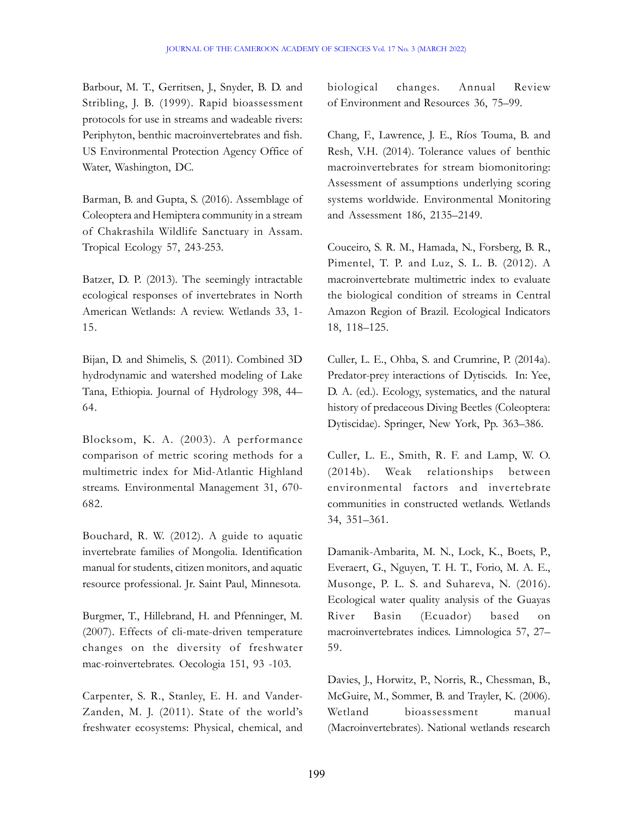Barbour, M. T., Gerritsen, J., Snyder, B. D. and Stribling, J. B. (1999). Rapid bioassessment protocols for use in streams and wadeable rivers: Periphyton, benthic macroinvertebrates and fish. US Environmental Protection Agency Office of Water, Washington, DC.

Barman, B. and Gupta, S. (2016). Assemblage of Coleoptera and Hemiptera community in a stream of Chakrashila Wildlife Sanctuary in Assam. Tropical Ecology 57, 243-253.

Batzer, D. P. (2013). The seemingly intractable ecological responses of invertebrates in North American Wetlands: A review. Wetlands 33, 1- 15.

Bijan, D. and Shimelis, S. (2011). Combined 3D hydrodynamic and watershed modeling of Lake Tana, Ethiopia. Journal of Hydrology 398, 44– 64.

Blocksom, K. A. (2003). A performance comparison of metric scoring methods for a multimetric index for Mid-Atlantic Highland streams. Environmental Management 31, 670- 682.

Bouchard, R. W. (2012). A guide to aquatic invertebrate families of Mongolia. Identification manual for students, citizen monitors, and aquatic resource professional. Jr. Saint Paul, Minnesota.

Burgmer, T., Hillebrand, H. and Pfenninger, M. (2007). Effects of cli-mate-driven temperature changes on the diversity of freshwater mac-roinvertebrates. Oecologia 151, 93 -103.

Carpenter, S. R., Stanley, E. H. and Vander-Zanden, M. J. (2011). State of the world's freshwater ecosystems: Physical, chemical, and biological changes. Annual Review of Environment and Resources 36, 75–99.

Chang, F., Lawrence, J. E., Ríos Touma, B. and Resh, V.H. (2014). Tolerance values of benthic macroinvertebrates for stream biomonitoring: Assessment of assumptions underlying scoring systems worldwide. Environmental Monitoring and Assessment 186, 2135–2149.

Couceiro, S. R. M., Hamada, N., Forsberg, B. R., Pimentel, T. P. and Luz, S. L. B. (2012). A macroinvertebrate multimetric index to evaluate the biological condition of streams in Central Amazon Region of Brazil. Ecological Indicators 18, 118–125.

Culler, L. E., Ohba, S. and Crumrine, P. (2014a). Predator-prey interactions of Dytiscids. In: Yee, D. A. (ed.). Ecology, systematics, and the natural history of predaceous Diving Beetles (Coleoptera: Dytiscidae). Springer, New York, Pp. 363–386.

Culler, L. E., Smith, R. F. and Lamp, W. O. (2014b). Weak relationships between environmental factors and invertebrate communities in constructed wetlands. Wetlands 34, 351–361.

Damanik-Ambarita, M. N., Lock, K., Boets, P., Everaert, G., Nguyen, T. H. T., Forio, M. A. E., Musonge, P. L. S. and Suhareva, N. (2016). Ecological water quality analysis of the Guayas River Basin (Ecuador) based on macroinvertebrates indices. Limnologica 57, 27– 59.

Davies, J., Horwitz, P., Norris, R., Chessman, B., McGuire, M., Sommer, B. and Trayler, K. (2006). Wetland bioassessment manual (Macroinvertebrates). National wetlands research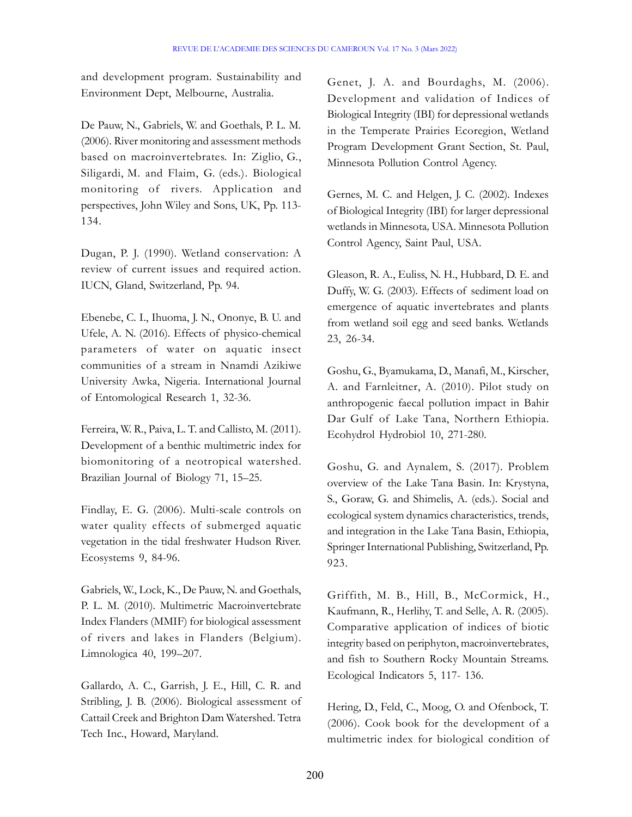and development program. Sustainability and Environment Dept, Melbourne, Australia.

De Pauw, N., Gabriels, W. and Goethals, P. L. M. (2006). River monitoring and assessment methods based on macroinvertebrates. In: Ziglio, G., Siligardi, M. and Flaim, G. (eds.). Biological monitoring of rivers. Application and perspectives, John Wiley and Sons, UK, Pp. 113- 134.

Dugan, P. J. (1990). Wetland conservation: A review of current issues and required action. IUCN, Gland, Switzerland, Pp. 94.

Ebenebe, C. I., Ihuoma, J. N., Ononye, B. U. and Ufele, A. N. (2016). Effects of physico-chemical parameters of water on aquatic insect communities of a stream in Nnamdi Azikiwe University Awka, Nigeria. International Journal of Entomological Research 1, 32-36.

Ferreira, W. R., Paiva, L. T. and Callisto, M. (2011). Development of a benthic multimetric index for biomonitoring of a neotropical watershed. Brazilian Journal of Biology 71, 15–25.

Findlay, E. G. (2006). Multi-scale controls on water quality effects of submerged aquatic vegetation in the tidal freshwater Hudson River. Ecosystems 9, 84-96.

Gabriels, W., Lock, K., De Pauw, N. and Goethals, P. L. M. (2010). Multimetric Macroinvertebrate Index Flanders (MMIF) for biological assessment of rivers and lakes in Flanders (Belgium). Limnologica 40, 199–207.

Gallardo, A. C., Garrish, J. E., Hill, C. R. and Stribling, J. B. (2006). Biological assessment of Cattail Creek and Brighton Dam Watershed. Tetra Tech Inc., Howard, Maryland.

Genet, J. A. and Bourdaghs, M. (2006). Development and validation of Indices of Biological Integrity (IBI) for depressional wetlands in the Temperate Prairies Ecoregion, Wetland Program Development Grant Section, St. Paul, Minnesota Pollution Control Agency.

Gernes, M. C. and Helgen, J. C. (2002). Indexes of Biological Integrity (IBI) for larger depressional wetlands in Minnesota, USA. Minnesota Pollution Control Agency, Saint Paul, USA.

Gleason, R. A., Euliss, N. H., Hubbard, D. E. and Duffy, W. G. (2003). Effects of sediment load on emergence of aquatic invertebrates and plants from wetland soil egg and seed banks. Wetlands 23, 26-34.

Goshu, G., Byamukama, D., Manafi, M., Kirscher, A. and Farnleitner, A. (2010). Pilot study on anthropogenic faecal pollution impact in Bahir Dar Gulf of Lake Tana, Northern Ethiopia. Ecohydrol Hydrobiol 10, 271-280.

Goshu, G. and Aynalem, S. (2017). Problem overview of the Lake Tana Basin. In: Krystyna, S., Goraw, G. and Shimelis, A. (eds.). Social and ecological system dynamics characteristics, trends, and integration in the Lake Tana Basin, Ethiopia, Springer International Publishing, Switzerland, Pp. 923.

Griffith, M. B., Hill, B., McCormick, H., Kaufmann, R., Herlihy, T. and Selle, A. R. (2005). Comparative application of indices of biotic integrity based on periphyton, macroinvertebrates, and fish to Southern Rocky Mountain Streams. Ecological Indicators 5, 117- 136.

Hering, D., Feld, C., Moog, O. and Ofenbock, T. (2006). Cook book for the development of a multimetric index for biological condition of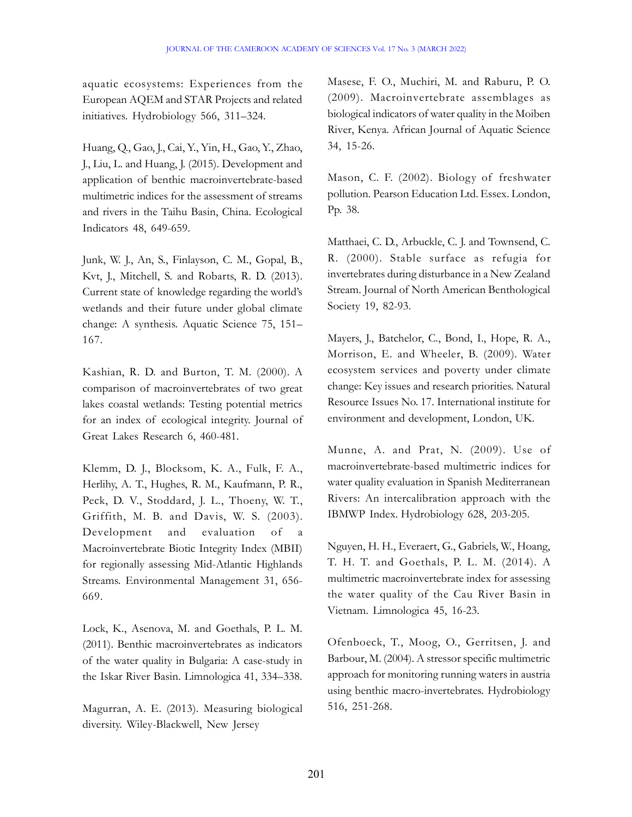aquatic ecosystems: Experiences from the European AQEM and STAR Projects and related initiatives. Hydrobiology 566, 311–324.

Huang, Q., Gao, J., Cai, Y., Yin, H., Gao, Y., Zhao, J., Liu, L. and Huang, J. (2015). Development and application of benthic macroinvertebrate-based multimetric indices for the assessment of streams and rivers in the Taihu Basin, China. Ecological Indicators 48, 649-659.

Junk, W. J., An, S., Finlayson, C. M., Gopal, B., Kvt, J., Mitchell, S. and Robarts, R. D. (2013). Current state of knowledge regarding the world's wetlands and their future under global climate change: A synthesis. Aquatic Science 75, 151– 167.

Kashian, R. D. and Burton, T. M. (2000). A comparison of macroinvertebrates of two great lakes coastal wetlands: Testing potential metrics for an index of ecological integrity. Journal of Great Lakes Research 6, 460-481.

Klemm, D. J., Blocksom, K. A., Fulk, F. A., Herlihy, A. T., Hughes, R. M., Kaufmann, P. R., Peck, D. V., Stoddard, J. L., Thoeny, W. T., Griffith, M. B. and Davis, W. S. (2003). Development and evaluation of a Macroinvertebrate Biotic Integrity Index (MBII) for regionally assessing Mid-Atlantic Highlands Streams. Environmental Management 31, 656- 669.

Lock, K., Asenova, M. and Goethals, P. L. M. (2011). Benthic macroinvertebrates as indicators of the water quality in Bulgaria: A case-study in the Iskar River Basin. Limnologica 41, 334–338.

Magurran, A. E. (2013). Measuring biological diversity. Wiley-Blackwell, New Jersey

Masese, F. O., Muchiri, M. and Raburu, P. O. (2009). Macroinvertebrate assemblages as biological indicators of water quality in the Moiben River, Kenya. African Journal of Aquatic Science 34, 15-26.

Mason, C. F. (2002). Biology of freshwater pollution. Pearson Education Ltd. Essex. London, Pp. 38.

Matthaei, C. D., Arbuckle, C. J. and Townsend, C. R. (2000). Stable surface as refugia for invertebrates during disturbance in a New Zealand Stream. Journal of North American Benthological Society 19, 82-93.

Mayers, J., Batchelor, C., Bond, I., Hope, R. A., Morrison, E. and Wheeler, B. (2009). Water ecosystem services and poverty under climate change: Key issues and research priorities. Natural Resource Issues No. 17. International institute for environment and development, London, UK.

Munne, A. and Prat, N. (2009). Use of macroinvertebrate-based multimetric indices for water quality evaluation in Spanish Mediterranean Rivers: An intercalibration approach with the IBMWP Index. Hydrobiology 628, 203-205.

Nguyen, H. H., Everaert, G., Gabriels, W., Hoang, T. H. T. and Goethals, P. L. M. (2014). A multimetric macroinvertebrate index for assessing the water quality of the Cau River Basin in Vietnam. Limnologica 45, 16-23.

Ofenboeck, T., Moog, O., Gerritsen, J. and Barbour, M. (2004). A stressor specific multimetric approach for monitoring running waters in austria using benthic macro-invertebrates. Hydrobiology 516, 251-268.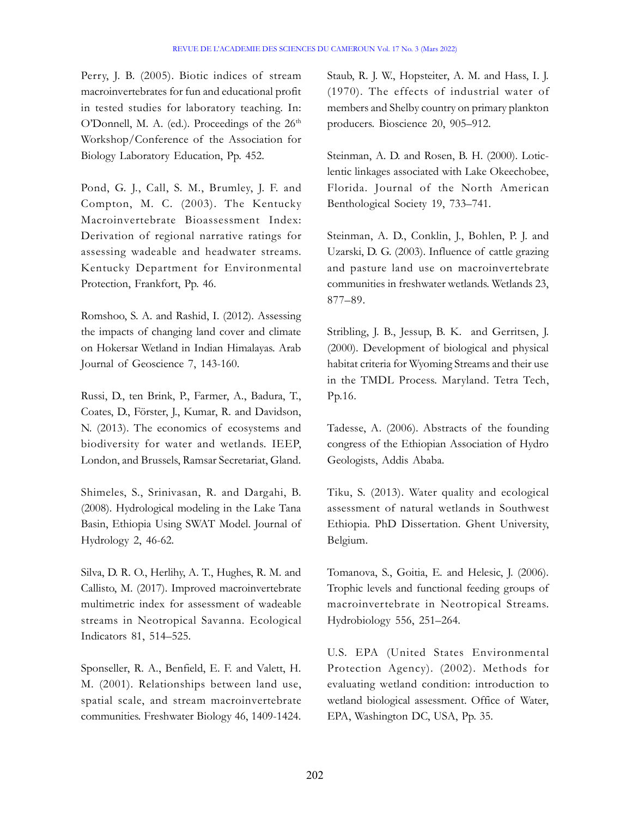Perry, J. B. (2005). Biotic indices of stream macroinvertebrates for fun and educational profit in tested studies for laboratory teaching. In: O'Donnell, M. A. (ed.). Proceedings of the  $26<sup>th</sup>$ Workshop/Conference of the Association for Biology Laboratory Education, Pp. 452.

Pond, G. J., Call, S. M., Brumley, J. F. and Compton, M. C. (2003). The Kentucky Macroinvertebrate Bioassessment Index: Derivation of regional narrative ratings for assessing wadeable and headwater streams. Kentucky Department for Environmental Protection, Frankfort, Pp. 46.

Romshoo, S. A. and Rashid, I. (2012). Assessing the impacts of changing land cover and climate on Hokersar Wetland in Indian Himalayas. Arab Journal of Geoscience 7, 143-160.

Russi, D., ten Brink, P., Farmer, A., Badura, T., Coates, D., Förster, J., Kumar, R. and Davidson, N. (2013). The economics of ecosystems and biodiversity for water and wetlands. IEEP, London, and Brussels, Ramsar Secretariat, Gland.

Shimeles, S., Srinivasan, R. and Dargahi, B. (2008). Hydrological modeling in the Lake Tana Basin, Ethiopia Using SWAT Model. Journal of Hydrology 2, 46-62.

Silva, D. R. O., Herlihy, A. T., Hughes, R. M. and Callisto, M. (2017). Improved macroinvertebrate multimetric index for assessment of wadeable streams in Neotropical Savanna. Ecological Indicators 81, 514–525.

Sponseller, R. A., Benfield, E. F. and Valett, H. M. (2001). Relationships between land use, spatial scale, and stream macroinvertebrate communities. Freshwater Biology 46, 1409-1424. Staub, R. J. W., Hopsteiter, A. M. and Hass, I. J. (1970). The effects of industrial water of members and Shelby country on primary plankton producers. Bioscience 20, 905–912.

Steinman, A. D. and Rosen, B. H. (2000). Loticlentic linkages associated with Lake Okeechobee, Florida. Journal of the North American Benthological Society 19, 733–741.

Steinman, A. D., Conklin, J., Bohlen, P. J. and Uzarski, D. G. (2003). Influence of cattle grazing and pasture land use on macroinvertebrate communities in freshwater wetlands. Wetlands 23, 877–89.

Stribling, J. B., Jessup, B. K. and Gerritsen, J. (2000). Development of biological and physical habitat criteria for Wyoming Streams and their use in the TMDL Process. Maryland. Tetra Tech, Pp.16.

Tadesse, A. (2006). Abstracts of the founding congress of the Ethiopian Association of Hydro Geologists, Addis Ababa.

Tiku, S. (2013). Water quality and ecological assessment of natural wetlands in Southwest Ethiopia. PhD Dissertation. Ghent University, Belgium.

Tomanova, S., Goitia, E. and Helesic, J. (2006). Trophic levels and functional feeding groups of macroinvertebrate in Neotropical Streams. Hydrobiology 556, 251–264.

U.S. EPA (United States Environmental Protection Agency). (2002). Methods for evaluating wetland condition: introduction to wetland biological assessment. Office of Water, EPA, Washington DC, USA, Pp. 35.